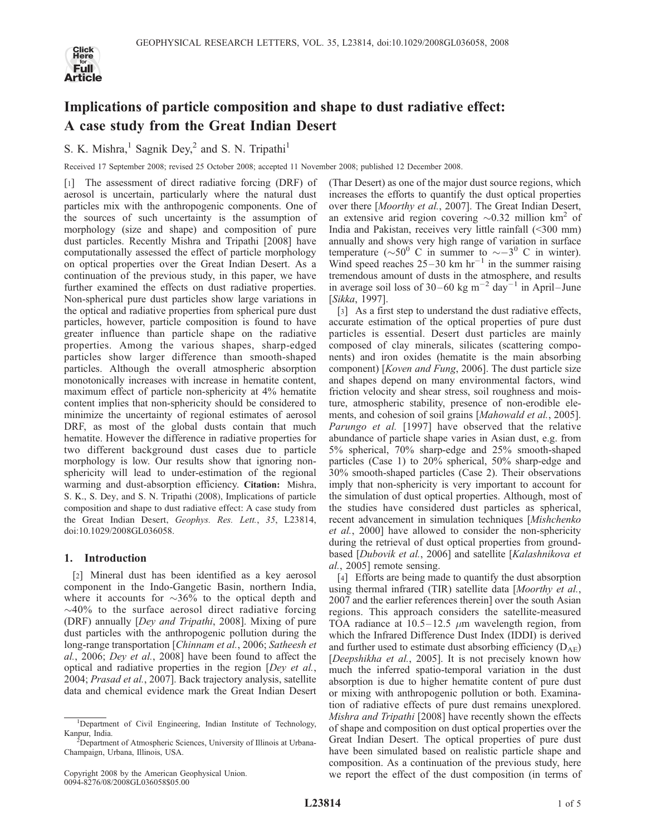

# Implications of particle composition and shape to dust radiative effect: A case study from the Great Indian Desert

S. K. Mishra, $1$  Sagnik Dey, $2$  and S. N. Tripathi<sup>1</sup>

Received 17 September 2008; revised 25 October 2008; accepted 11 November 2008; published 12 December 2008.

[1] The assessment of direct radiative forcing (DRF) of aerosol is uncertain, particularly where the natural dust particles mix with the anthropogenic components. One of the sources of such uncertainty is the assumption of morphology (size and shape) and composition of pure dust particles. Recently Mishra and Tripathi [2008] have computationally assessed the effect of particle morphology on optical properties over the Great Indian Desert. As a continuation of the previous study, in this paper, we have further examined the effects on dust radiative properties. Non-spherical pure dust particles show large variations in the optical and radiative properties from spherical pure dust particles, however, particle composition is found to have greater influence than particle shape on the radiative properties. Among the various shapes, sharp-edged particles show larger difference than smooth-shaped particles. Although the overall atmospheric absorption monotonically increases with increase in hematite content, maximum effect of particle non-sphericity at 4% hematite content implies that non-sphericity should be considered to minimize the uncertainty of regional estimates of aerosol DRF, as most of the global dusts contain that much hematite. However the difference in radiative properties for two different background dust cases due to particle morphology is low. Our results show that ignoring nonsphericity will lead to under-estimation of the regional warming and dust-absorption efficiency. Citation: Mishra, S. K., S. Dey, and S. N. Tripathi (2008), Implications of particle composition and shape to dust radiative effect: A case study from the Great Indian Desert, Geophys. Res. Lett., 35, L23814, doi:10.1029/2008GL036058.

## 1. Introduction

[2] Mineral dust has been identified as a key aerosol component in the Indo-Gangetic Basin, northern India, where it accounts for  $\sim 36\%$  to the optical depth and  $\sim$ 40% to the surface aerosol direct radiative forcing (DRF) annually [Dey and Tripathi, 2008]. Mixing of pure dust particles with the anthropogenic pollution during the long-range transportation [Chinnam et al., 2006; Satheesh et al., 2006; Dey et al., 2008] have been found to affect the optical and radiative properties in the region [Dey et al., 2004; Prasad et al., 2007]. Back trajectory analysis, satellite data and chemical evidence mark the Great Indian Desert

(Thar Desert) as one of the major dust source regions, which increases the efforts to quantify the dust optical properties over there [Moorthy et al., 2007]. The Great Indian Desert, an extensive arid region covering  $\sim 0.32$  million km<sup>2</sup> of India and Pakistan, receives very little rainfall (<300 mm) annually and shows very high range of variation in surface temperature ( $\sim 50^{\circ}$  C in summer to  $\sim -3^{\circ}$  C in winter). Wind speed reaches  $25-30$  km hr<sup>-1</sup> in the summer raising tremendous amount of dusts in the atmosphere, and results in average soil loss of 30–60 kg m<sup>-2</sup> day<sup>-1</sup> in April–June [Sikka, 1997].

[3] As a first step to understand the dust radiative effects, accurate estimation of the optical properties of pure dust particles is essential. Desert dust particles are mainly composed of clay minerals, silicates (scattering components) and iron oxides (hematite is the main absorbing component) [Koven and Fung, 2006]. The dust particle size and shapes depend on many environmental factors, wind friction velocity and shear stress, soil roughness and moisture, atmospheric stability, presence of non-erodible elements, and cohesion of soil grains [Mahowald et al., 2005]. Parungo et al. [1997] have observed that the relative abundance of particle shape varies in Asian dust, e.g. from 5% spherical, 70% sharp-edge and 25% smooth-shaped particles (Case 1) to 20% spherical, 50% sharp-edge and 30% smooth-shaped particles (Case 2). Their observations imply that non-sphericity is very important to account for the simulation of dust optical properties. Although, most of the studies have considered dust particles as spherical, recent advancement in simulation techniques [Mishchenko et al., 2000] have allowed to consider the non-sphericity during the retrieval of dust optical properties from groundbased [Dubovik et al., 2006] and satellite [Kalashnikova et al., 2005] remote sensing.

[4] Efforts are being made to quantify the dust absorption using thermal infrared (TIR) satellite data [Moorthy et al., 2007 and the earlier references therein] over the south Asian regions. This approach considers the satellite-measured TOA radiance at  $10.5 - 12.5 \mu m$  wavelength region, from which the Infrared Difference Dust Index (IDDI) is derived and further used to estimate dust absorbing efficiency  $(D_{AE})$ [Deepshikha et al., 2005]. It is not precisely known how much the inferred spatio-temporal variation in the dust absorption is due to higher hematite content of pure dust or mixing with anthropogenic pollution or both. Examination of radiative effects of pure dust remains unexplored. Mishra and Tripathi [2008] have recently shown the effects of shape and composition on dust optical properties over the Great Indian Desert. The optical properties of pure dust have been simulated based on realistic particle shape and composition. As a continuation of the previous study, here we report the effect of the dust composition (in terms of

<sup>&</sup>lt;sup>1</sup>Department of Civil Engineering, Indian Institute of Technology, Kanpur, India.

Department of Atmospheric Sciences, University of Illinois at Urbana-Champaign, Urbana, Illinois, USA.

Copyright 2008 by the American Geophysical Union. 0094-8276/08/2008GL036058\$05.00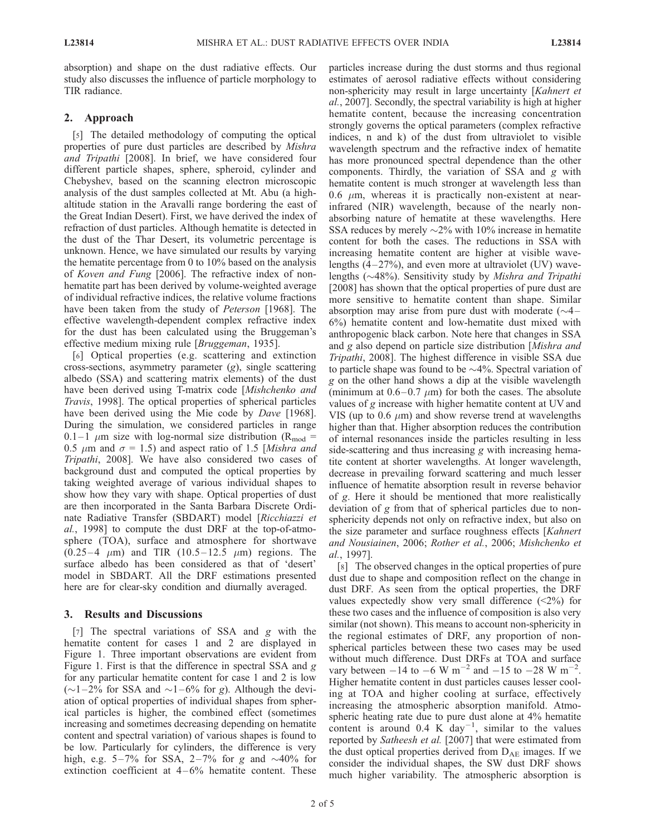absorption) and shape on the dust radiative effects. Our study also discusses the influence of particle morphology to TIR radiance.

### 2. Approach

[5] The detailed methodology of computing the optical properties of pure dust particles are described by Mishra and Tripathi [2008]. In brief, we have considered four different particle shapes, sphere, spheroid, cylinder and Chebyshev, based on the scanning electron microscopic analysis of the dust samples collected at Mt. Abu (a highaltitude station in the Aravalli range bordering the east of the Great Indian Desert). First, we have derived the index of refraction of dust particles. Although hematite is detected in the dust of the Thar Desert, its volumetric percentage is unknown. Hence, we have simulated our results by varying the hematite percentage from 0 to 10% based on the analysis of Koven and Fung [2006]. The refractive index of nonhematite part has been derived by volume-weighted average of individual refractive indices, the relative volume fractions have been taken from the study of *Peterson* [1968]. The effective wavelength-dependent complex refractive index for the dust has been calculated using the Bruggeman's effective medium mixing rule [*Bruggeman*, 1935].

[6] Optical properties (e.g. scattering and extinction cross-sections, asymmetry parameter (g), single scattering albedo (SSA) and scattering matrix elements) of the dust have been derived using T-matrix code [Mishchenko and Travis, 1998]. The optical properties of spherical particles have been derived using the Mie code by Dave [1968]. During the simulation, we considered particles in range 0.1–1  $\mu$ m size with log-normal size distribution (R<sub>mod</sub> = 0.5  $\mu$ m and  $\sigma$  = 1.5) and aspect ratio of 1.5 [Mishra and Tripathi, 2008]. We have also considered two cases of background dust and computed the optical properties by taking weighted average of various individual shapes to show how they vary with shape. Optical properties of dust are then incorporated in the Santa Barbara Discrete Ordinate Radiative Transfer (SBDART) model [Ricchiazzi et al., 1998] to compute the dust DRF at the top-of-atmosphere (TOA), surface and atmosphere for shortwave  $(0.25-4 \mu m)$  and TIR  $(10.5-12.5 \mu m)$  regions. The surface albedo has been considered as that of 'desert' model in SBDART. All the DRF estimations presented here are for clear-sky condition and diurnally averaged.

### 3. Results and Discussions

[7] The spectral variations of SSA and g with the hematite content for cases 1 and 2 are displayed in Figure 1. Three important observations are evident from Figure 1. First is that the difference in spectral SSA and g for any particular hematite content for case 1 and 2 is low  $(\sim 1 - 2\%$  for SSA and  $\sim 1 - 6\%$  for g). Although the deviation of optical properties of individual shapes from spherical particles is higher, the combined effect (sometimes increasing and sometimes decreasing depending on hematite content and spectral variation) of various shapes is found to be low. Particularly for cylinders, the difference is very high, e.g.  $5-7\%$  for SSA,  $2-7\%$  for g and  $\sim$ 40% for extinction coefficient at  $4 - 6\%$  hematite content. These particles increase during the dust storms and thus regional estimates of aerosol radiative effects without considering non-sphericity may result in large uncertainty [Kahnert et al., 2007]. Secondly, the spectral variability is high at higher hematite content, because the increasing concentration strongly governs the optical parameters (complex refractive indices, n and k) of the dust from ultraviolet to visible wavelength spectrum and the refractive index of hematite has more pronounced spectral dependence than the other components. Thirdly, the variation of SSA and g with hematite content is much stronger at wavelength less than 0.6  $\mu$ m, whereas it is practically non-existent at nearinfrared (NIR) wavelength, because of the nearly nonabsorbing nature of hematite at these wavelengths. Here SSA reduces by merely  $\sim$ 2% with 10% increase in hematite content for both the cases. The reductions in SSA with increasing hematite content are higher at visible wavelengths  $(4-27%)$ , and even more at ultraviolet (UV) wavelengths ( $\sim$ 48%). Sensitivity study by Mishra and Tripathi [2008] has shown that the optical properties of pure dust are more sensitive to hematite content than shape. Similar absorption may arise from pure dust with moderate  $(\sim4 -$ 6%) hematite content and low-hematite dust mixed with anthropogenic black carbon. Note here that changes in SSA and g also depend on particle size distribution [Mishra and Tripathi, 2008]. The highest difference in visible SSA due to particle shape was found to be  $\sim$ 4%. Spectral variation of g on the other hand shows a dip at the visible wavelength (minimum at  $0.6 - 0.7 \mu m$ ) for both the cases. The absolute values of g increase with higher hematite content at UV and VIS (up to 0.6  $\mu$ m) and show reverse trend at wavelengths higher than that. Higher absorption reduces the contribution of internal resonances inside the particles resulting in less side-scattering and thus increasing g with increasing hematite content at shorter wavelengths. At longer wavelength, decrease in prevailing forward scattering and much lesser influence of hematite absorption result in reverse behavior of g. Here it should be mentioned that more realistically deviation of g from that of spherical particles due to nonsphericity depends not only on refractive index, but also on the size parameter and surface roughness effects [Kahnert and Nousiainen, 2006; Rother et al., 2006; Mishchenko et al., 1997].

[8] The observed changes in the optical properties of pure dust due to shape and composition reflect on the change in dust DRF. As seen from the optical properties, the DRF values expectedly show very small difference  $(\leq 2\%)$  for these two cases and the influence of composition is also very similar (not shown). This means to account non-sphericity in the regional estimates of DRF, any proportion of nonspherical particles between these two cases may be used without much difference. Dust DRFs at TOA and surface vary between  $-14$  to  $-6$  W m<sup>-2</sup> and  $-15$  to  $-28$  W m<sup>-2</sup>. Higher hematite content in dust particles causes lesser cooling at TOA and higher cooling at surface, effectively increasing the atmospheric absorption manifold. Atmospheric heating rate due to pure dust alone at 4% hematite content is around  $0.4 \text{ K}^{\text{-}}day^{-1}$ , similar to the values reported by Satheesh et al. [2007] that were estimated from the dust optical properties derived from  $D_{AE}$  images. If we consider the individual shapes, the SW dust DRF shows much higher variability. The atmospheric absorption is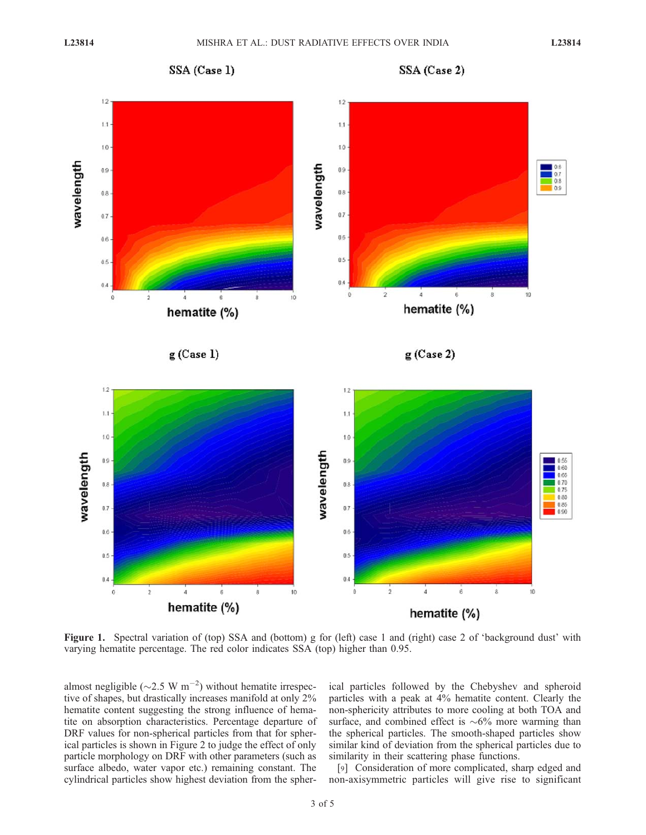

SSA (Case 2)



Figure 1. Spectral variation of (top) SSA and (bottom) g for (left) case 1 and (right) case 2 of 'background dust' with varying hematite percentage. The red color indicates SSA (top) higher than 0.95.

almost negligible ( $\sim$ 2.5 W m<sup>-2</sup>) without hematite irrespective of shapes, but drastically increases manifold at only 2% hematite content suggesting the strong influence of hematite on absorption characteristics. Percentage departure of DRF values for non-spherical particles from that for spherical particles is shown in Figure 2 to judge the effect of only particle morphology on DRF with other parameters (such as surface albedo, water vapor etc.) remaining constant. The cylindrical particles show highest deviation from the spher-

ical particles followed by the Chebyshev and spheroid particles with a peak at 4% hematite content. Clearly the non-sphericity attributes to more cooling at both TOA and surface, and combined effect is  $\sim 6\%$  more warming than the spherical particles. The smooth-shaped particles show similar kind of deviation from the spherical particles due to similarity in their scattering phase functions.

[9] Consideration of more complicated, sharp edged and non-axisymmetric particles will give rise to significant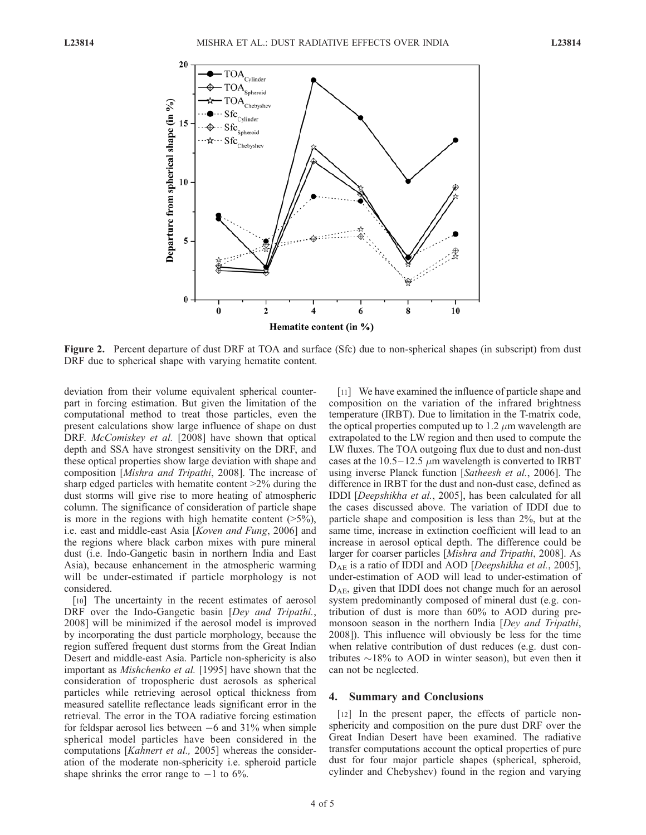

Figure 2. Percent departure of dust DRF at TOA and surface (Sfc) due to non-spherical shapes (in subscript) from dust DRF due to spherical shape with varying hematite content.

deviation from their volume equivalent spherical counterpart in forcing estimation. But given the limitation of the computational method to treat those particles, even the present calculations show large influence of shape on dust DRF. McComiskey et al. [2008] have shown that optical depth and SSA have strongest sensitivity on the DRF, and these optical properties show large deviation with shape and composition [Mishra and Tripathi, 2008]. The increase of sharp edged particles with hematite content >2% during the dust storms will give rise to more heating of atmospheric column. The significance of consideration of particle shape is more in the regions with high hematite content  $(>=5\%)$ , i.e. east and middle-east Asia [Koven and Fung, 2006] and the regions where black carbon mixes with pure mineral dust (i.e. Indo-Gangetic basin in northern India and East Asia), because enhancement in the atmospheric warming will be under-estimated if particle morphology is not considered.

[10] The uncertainty in the recent estimates of aerosol DRF over the Indo-Gangetic basin [Dey and Tripathi., 2008] will be minimized if the aerosol model is improved by incorporating the dust particle morphology, because the region suffered frequent dust storms from the Great Indian Desert and middle-east Asia. Particle non-sphericity is also important as Mishchenko et al. [1995] have shown that the consideration of tropospheric dust aerosols as spherical particles while retrieving aerosol optical thickness from measured satellite reflectance leads significant error in the retrieval. The error in the TOA radiative forcing estimation for feldspar aerosol lies between -6 and 31% when simple spherical model particles have been considered in the computations [Kahnert et al., 2005] whereas the consideration of the moderate non-sphericity i.e. spheroid particle shape shrinks the error range to  $-1$  to 6%.

[11] We have examined the influence of particle shape and composition on the variation of the infrared brightness temperature (IRBT). Due to limitation in the T-matrix code, the optical properties computed up to 1.2  $\mu$ m wavelength are extrapolated to the LW region and then used to compute the LW fluxes. The TOA outgoing flux due to dust and non-dust cases at the  $10.5-12.5 \mu m$  wavelength is converted to IRBT using inverse Planck function [Satheesh et al., 2006]. The difference in IRBT for the dust and non-dust case, defined as IDDI [Deepshikha et al., 2005], has been calculated for all the cases discussed above. The variation of IDDI due to particle shape and composition is less than 2%, but at the same time, increase in extinction coefficient will lead to an increase in aerosol optical depth. The difference could be larger for coarser particles [Mishra and Tripathi, 2008]. As D<sub>AE</sub> is a ratio of IDDI and AOD [*Deepshikha et al.*, 2005], under-estimation of AOD will lead to under-estimation of  $D_{AE}$ , given that IDDI does not change much for an aerosol system predominantly composed of mineral dust (e.g. contribution of dust is more than 60% to AOD during premonsoon season in the northern India [Dey and Tripathi, 2008]). This influence will obviously be less for the time when relative contribution of dust reduces (e.g. dust contributes  $\sim$ 18% to AOD in winter season), but even then it can not be neglected.

#### 4. Summary and Conclusions

[12] In the present paper, the effects of particle nonsphericity and composition on the pure dust DRF over the Great Indian Desert have been examined. The radiative transfer computations account the optical properties of pure dust for four major particle shapes (spherical, spheroid, cylinder and Chebyshev) found in the region and varying